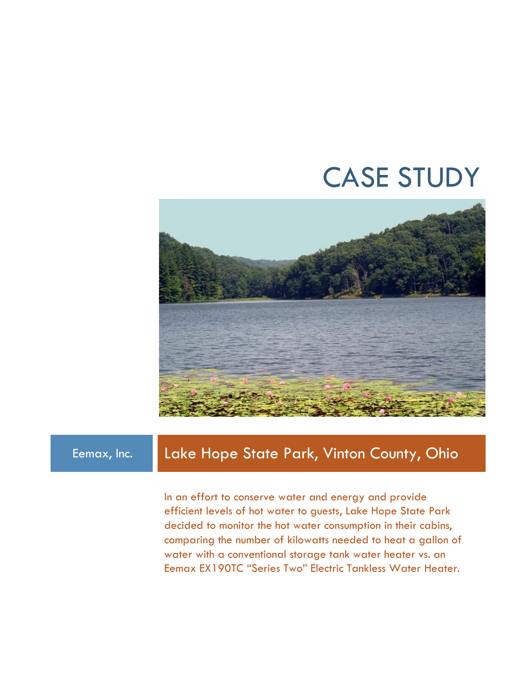# CASE STUDY



# Eemax, Inc. Lake Hope State Park, Vinton County, Ohio

In an effort to conserve water and energy and provide efficient levels of hot water to guests, Lake Hope State Park decided to monitor the hot water consumption in their cabins, comparing the number of kilowatts needed to heat a gallon of water with a conventional storage tank water heater vs. an Eemax EX190TC "Series Two" Electric Tankless Water Heater.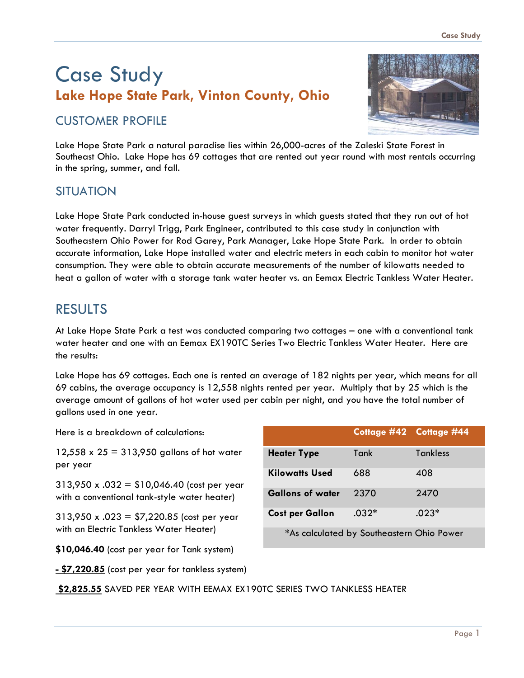# Case Study **Lake Hope State Park, Vinton County, Ohio**

### CUSTOMER PROFILE



Lake Hope State Park a natural paradise lies within 26,000-acres of the Zaleski State Forest in Southeast Ohio. Lake Hope has 69 cottages that are rented out year round with most rentals occurring in the spring, summer, and fall.

#### **SITUATION**

Lake Hope State Park conducted in-house guest surveys in which guests stated that they run out of hot water frequently. Darryl Trigg, Park Engineer, contributed to this case study in conjunction with Southeastern Ohio Power for Rod Garey, Park Manager, Lake Hope State Park. In order to obtain accurate information, Lake Hope installed water and electric meters in each cabin to monitor hot water consumption. They were able to obtain accurate measurements of the number of kilowatts needed to heat a gallon of water with a storage tank water heater vs. an Eemax Electric Tankless Water Heater.

# RESULTS

At Lake Hope State Park a test was conducted comparing two cottages – one with a conventional tank water heater and one with an Eemax EX190TC Series Two Electric Tankless Water Heater. Here are the results:

Lake Hope has 69 cottages. Each one is rented an average of 182 nights per year, which means for all 69 cabins, the average occupancy is 12,558 nights rented per year. Multiply that by 25 which is the average amount of gallons of hot water used per cabin per night, and you have the total number of gallons used in one year.

Here is a breakdown of calculations:

 $12,558 \times 25 = 313,950$  gallons of hot water per year

313,950 x .032 = \$10,046.40 (cost per year with a conventional tank-style water heater)

313,950 x .023 = \$7,220.85 (cost per year with an Electric Tankless Water Heater)

**\$10,046.40** (cost per year for Tank system)

**Cottage #42 Cottage #44 Heater Type** Tank Tankless **Kilowatts Used** 688 408 **Gallons of water** 2370 2470 **Cost per Gallon** .032\* .023\* **\***As calculated by Southeastern Ohio Power

**- \$7,220.85** (cost per year for tankless system)

**\$2,825.55** SAVED PER YEAR WITH EEMAX EX190TC SERIES TWO TANKLESS HEATER